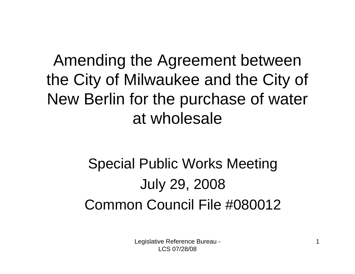### Amending the Agreement between the City of Milwaukee and the City of New Berlin for the purchase of water at wholesale

### Special Public Works Meeting July 29, 2008 Common Council File #080012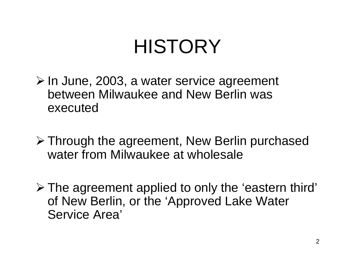# **HISTORY**

- ¾ In June, 2003, a water service agreement between Milwaukee and New Berlin was executed
- ¾ Through the agreement, New Berlin purchased water from Milwaukee at wholesale
- ¾ The agreement applied to only the 'eastern third' of New Berlin, or the 'Approved Lake Water Service Area'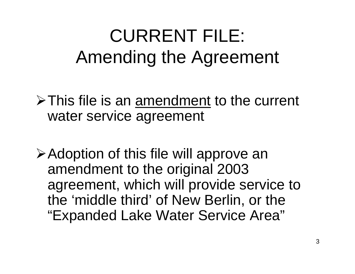# CURRENT FILE: Amending the Agreement

 $\triangleright$  This file is an amendment to the current water service agreement

¾Adoption of this file will approve an amendment to the original 2003 agreement, which will provide service to the 'middle third' of New Berlin, or the "Expanded Lake Water Service Area"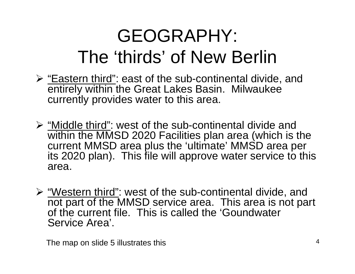# GEOGRAPHY: The 'thirds' of New Berlin

- ¾ "Eastern third": east of the sub-continental divide, and entirely within the Great Lakes Basin. Milwaukee currently provides water to this area.
- ¾ "Middle third": west of the sub-continental divide and within the MMSD 2020 Facilities plan area (which is the current MMSD area plus the 'ultimate' MMSD area per its 2020 plan). This file will approve water service to this area.
- ¾ "Western third": west of the sub-continental divide, and not part of the MMSD service area. This area is not part of the current file. This is called the 'Goundwater Service Area'.

The map on slide 5 illustrates this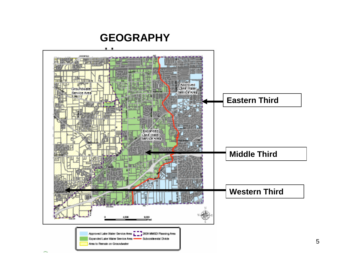#### **GEOGRAPHY**

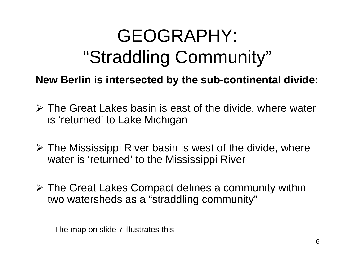# GEOGRAPHY: "Straddling Community"

**New Berlin is intersected by the sub-continental divide:**

- $\triangleright$  The Great Lakes basin is east of the divide, where water is 'returned' to Lake Michigan
- $\triangleright$  The Mississippi River basin is west of the divide, where water is 'returned' to the Mississippi River
- ¾ The Great Lakes Compact defines a community within two watersheds as a "straddling community"

The map on slide 7 illustrates this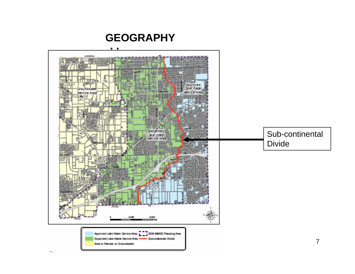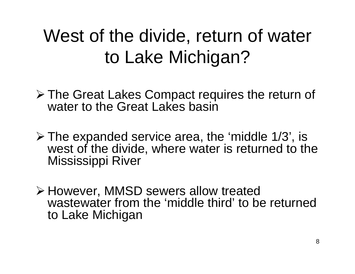# West of the divide, return of water to Lake Michigan?

- ¾ The Great Lakes Compact requires the return of water to the Great Lakes basin
- $\triangleright$  The expanded service area, the 'middle 1/3', is west of the divide, where water is returned to the Mississippi River
- ¾ However, MMSD sewers allow treated wastewater from the 'middle third' to be returned to Lake Michigan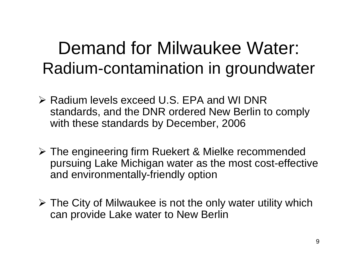## Demand for Milwaukee Water: Radium-contamination in groundwater

- ¾ Radium levels exceed U.S. EPA and WI DNR standards, and the DNR ordered New Berlin to comply with these standards by December, 2006
- ¾ The engineering firm Ruekert & Mielke recommended pursuing Lake Michigan water as the most cost-effective and environmentally-friendly option
- $\triangleright$  The City of Milwaukee is not the only water utility which can provide Lake water to New Berlin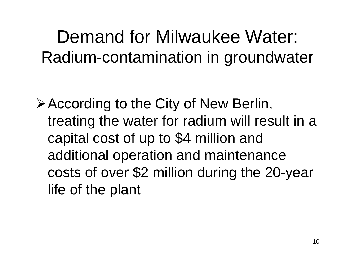## Demand for Milwaukee Water: Radium-contamination in groundwater

¾According to the City of New Berlin, treating the water for radium will result in a capital cost of up to \$4 million and additional operation and maintenance costs of over \$2 million during the 20-year life of the plant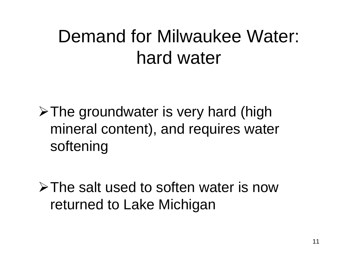# Demand for Milwaukee Water: hard water

 $\triangleright$  The groundwater is very hard (high mineral content), and requires water softening

¾The salt used to soften water is now returned to Lake Michigan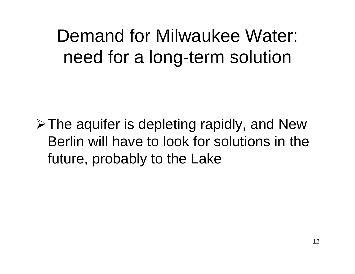Demand for Milwaukee Water: need for a long-term solution

 $\triangleright$  The aquifer is depleting rapidly, and New Berlin will have to look for solutions in the future, probably to the Lake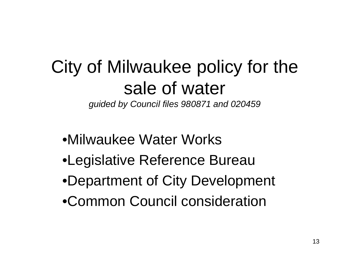### City of Milwaukee policy for the sale of water *guided by Council files 980871 and 020459*

- •Milwaukee Water Works
- •Legislative Reference Bureau
- •Department of City Development
- •Common Council consideration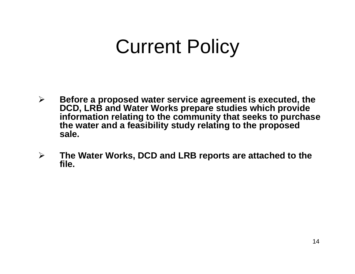# Current Policy

- ¾ **Before a proposed water service agreement is executed, the DCD, LRB and Water Works prepare studies which provide information relating to the community that seeks to purchase the water and a feasibility study relating to the proposed sale.**
- ¾ **The Water Works, DCD and LRB reports are attached to the file.**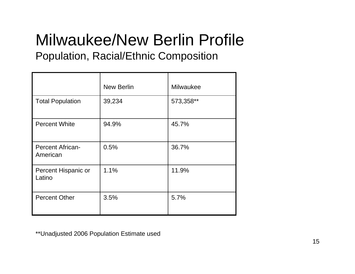## Milwaukee/New Berlin Profile

#### Population, Racial/Ethnic Composition

|                                     | <b>New Berlin</b> | <b>Milwaukee</b> |
|-------------------------------------|-------------------|------------------|
| <b>Total Population</b>             | 39,234            | 573,358**        |
| <b>Percent White</b>                | 94.9%             | 45.7%            |
| <b>Percent African-</b><br>American | 0.5%              | 36.7%            |
| Percent Hispanic or<br>Latino       | 1.1%              | 11.9%            |
| <b>Percent Other</b>                | 3.5%              | 5.7%             |

\*\*Unadjusted 2006 Population Estimate used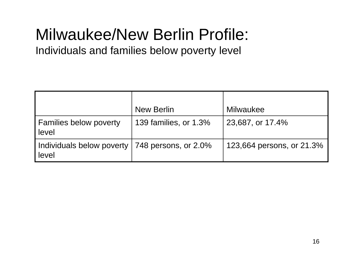## Milwaukee/New Berlin Profile:

Individuals and families below poverty level

|                                                           | <b>New Berlin</b>     | Milwaukee                 |
|-----------------------------------------------------------|-----------------------|---------------------------|
| <b>Families below poverty</b><br>level                    | 139 families, or 1.3% | 23,687, or 17.4%          |
| Individuals below poverty   748 persons, or 2.0%<br>level |                       | 123,664 persons, or 21.3% |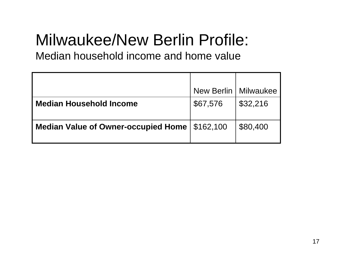## Milwaukee/New Berlin Profile:

Median household income and home value

|                                                 | New Berlin   Milwaukee |          |
|-------------------------------------------------|------------------------|----------|
| <b>Median Household Income</b>                  | \$67,576               | \$32,216 |
| Median Value of Owner-occupied Home   \$162,100 |                        | \$80,400 |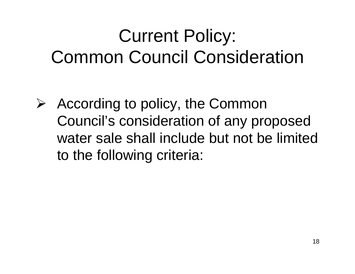# Current Policy: Common Council Consideration

 $\triangleright$  According to policy, the Common Council's consideration of any proposed water sale shall include but not be limited to the following criteria: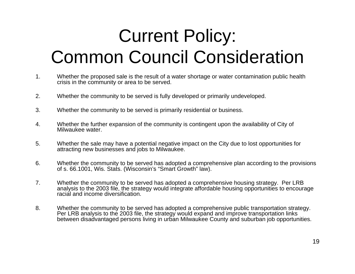# Current Policy: Common Council Consideration

- 1. Whether the proposed sale is the result of a water shortage or water contamination public health crisis in the community or area to be served.
- 2. Whether the community to be served is fully developed or primarily undeveloped.
- 3. Whether the community to be served is primarily residential or business.
- 4. Whether the further expansion of the community is contingent upon the availability of City of Milwaukee water.
- 5. Whether the sale may have a potential negative impact on the City due to lost opportunities for attracting new businesses and jobs to Milwaukee.
- 6. Whether the community to be served has adopted a comprehensive plan according to the provisions of s. 66.1001, Wis. Stats. (Wisconsin's "Smart Growth" law).
- 7. Whether the community to be served has adopted a comprehensive housing strategy. Per LRB analysis to the 2003 file, the strategy would integrate affordable housing opportunities to encourage racial and income diversification.
- 8. Whether the community to be served has adopted a comprehensive public transportation strategy. Per LRB analysis to the 2003 file, the strategy would expand and improve transportation links between disadvantaged persons living in urban Milwaukee County and suburban job opportunities.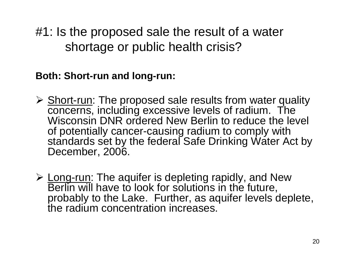#1: Is the proposed sale the result of a water shortage or public health crisis?

**Both: Short-run and long-run:**

- **≻** Short-run: The proposed sale results from water quality concerns, including excessive levels of radium. The Wisconsin DNR ordered New Berlin to reduce the level of potentially cancer-causing radium to comply with standards set by the federal Safe Drinking Water Act by December, 2006.
- **≻ Long-run: The aquifer is depleting rapidly, and New** Berlin will have to look for solutions in the future, probably to the Lake. Further, as aquifer levels deplete, the radium concentration increases.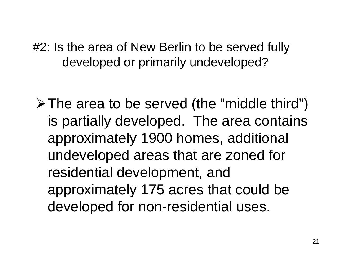#2: Is the area of New Berlin to be served fully developed or primarily undeveloped?

 $\triangleright$  The area to be served (the "middle third") is partially developed. The area contains approximately 1900 homes, additional undeveloped areas that are zoned for residential development, and approximately 175 acres that could be developed for non-residential uses.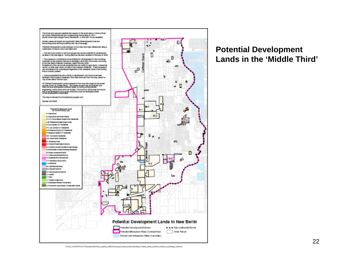

#### **Potential Development Lands in the 'Middle Third'**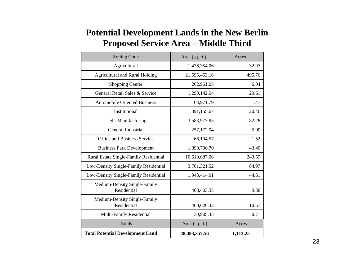#### **Potential Development Lands in the New Berlin Proposed Service Area – Middle Third**

| <b>Zoning Code</b>                          | Area (sq. ft.) | Acres    |  |
|---------------------------------------------|----------------|----------|--|
| Agricultural                                | 1,436,354.06   | 32.97    |  |
| <b>Agricultural and Rural Holding</b>       | 21,595,453.16  | 495.76   |  |
| <b>Shopping Center</b>                      | 262,961.05     | 6.04     |  |
| General Retail Sales & Service              | 1,290,142.04   | 29.61    |  |
| <b>Automobile Oriented Business</b>         | 63,971.79      | 1.47     |  |
| Institutional                               | 891,155.67     | 20.46    |  |
| <b>Light Manufacturing</b>                  | 3,583,977.95   | 82.28    |  |
| General Industrial                          | 257,172.94     | 5.90     |  |
| Office and Business Service                 | 66,104.57      | 1.52     |  |
| <b>Business Park Development</b>            | 1,890,706.70   | 43.40    |  |
| Rural Estate Single-Family Residential      | 10,610,687.06  | 243.59   |  |
| Low-Density Single-Family Residential       | 3,701,321.52   | 84.97    |  |
| Low-Density Single-Family Residential       | 1,943,414.01   | 44.61    |  |
| Medium-Density Single-Family<br>Residential | 408,403.35     | 9.38     |  |
| Medium-Density Single-Family<br>Residential | 460,626.33     | 10.57    |  |
| Multi-Family Residential                    | 30,905.35      | 0.71     |  |
| <b>Totals</b>                               | Area (sq. ft.) | Acres    |  |
| <b>Total Potential Development Land</b>     | 48,493,357.56  | 1,113.25 |  |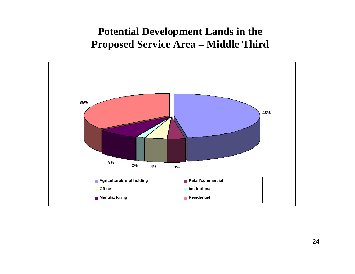#### **Potential Development Lands in the Proposed Service Area – Middle Third**

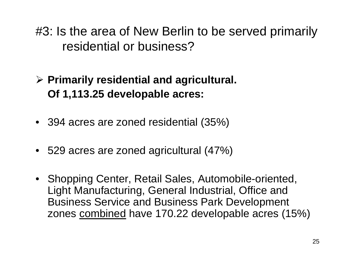#3: Is the area of New Berlin to be served primarily residential or business?

¾ **Primarily residential and agricultural. Of 1,113.25 developable acres:**

- 394 acres are zoned residential (35%)
- 529 acres are zoned agricultural (47%)
- Shopping Center, Retail Sales, Automobile-oriented, Light Manufacturing, General Industrial, Office and Business Service and Business Park Development zones <u>combined</u> have 170.22 developable acres (15%)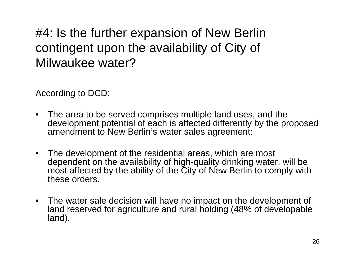#4: Is the further expansion of New Berlin contingent upon the availability of City of Milwaukee water?

According to DCD:

- The area to be served comprises multiple land uses, and the development potential of each is affected differently by the proposed amendment to New Berlin's water sales agreement:
- The development of the residential areas, which are most dependent on the availability of high-quality drinking water, will be most affected by the ability of the City of New Berlin to comply with these orders.
- The water sale decision will have no impact on the development of land reserved for agriculture and rural holding (48% of developable land).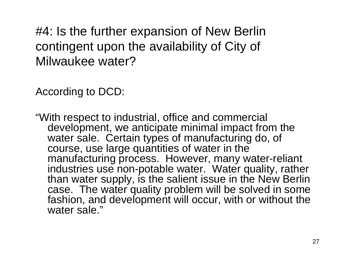#4: Is the further expansion of New Berlin contingent upon the availability of City of Milwaukee water?

According to DCD:

"With respect to industrial, office and commercial development, we anticipate minimal impact from the water sale. Certain types of manufacturing do, of course, use large quantities of water in the manufacturing process. However, many water-reliant industries use non-potable water. Water quality, rather than water supply, is the salient issue in the New Berlin case. The water quality problem will be solved in some fashion, and development will occur, with or without the water sale."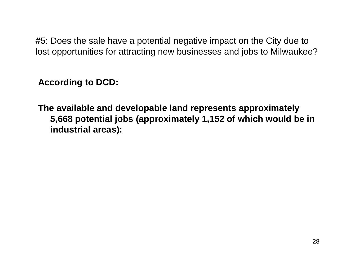#5: Does the sale have a potential negative impact on the City due to lost opportunities for attracting new businesses and jobs to Milwaukee?

**According to DCD:**

**The available and developable land represents approximately 5,668 potential jobs (approximately 1,152 of which would be in industrial areas):**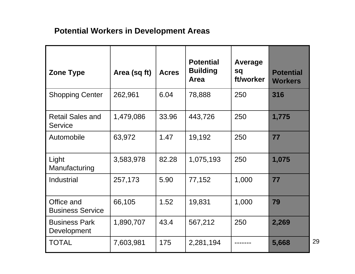#### **Potential Workers in Development Areas**

| <b>Zone Type</b>                          | Area (sq ft) | <b>Acres</b> | <b>Potential</b><br><b>Building</b><br>Area | Average<br>sq<br>ft/worker | <b>Potential</b><br><b>Workers</b> |
|-------------------------------------------|--------------|--------------|---------------------------------------------|----------------------------|------------------------------------|
| <b>Shopping Center</b>                    | 262,961      | 6.04         | 78,888                                      | 250                        | 316                                |
| <b>Retail Sales and</b><br><b>Service</b> | 1,479,086    | 33.96        | 443,726                                     | 250                        | 1,775                              |
| Automobile                                | 63,972       | 1.47         | 19,192                                      | 250                        | 77                                 |
| Light<br>Manufacturing                    | 3,583,978    | 82.28        | 1,075,193                                   | 250                        | 1,075                              |
| Industrial                                | 257,173      | 5.90         | 77,152                                      | 1,000                      | 77                                 |
| Office and<br><b>Business Service</b>     | 66,105       | 1.52         | 19,831                                      | 1,000                      | 79                                 |
| <b>Business Park</b><br>Development       | 1,890,707    | 43.4         | 567,212                                     | 250                        | 2,269                              |
| <b>TOTAL</b>                              | 7,603,981    | 175          | 2,281,194                                   |                            | 5,668                              |

29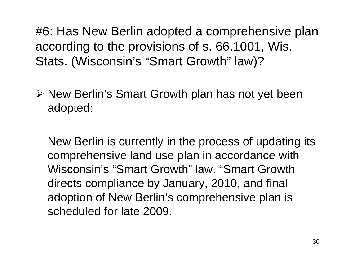#6: Has New Berlin adopted a comprehensive plan according to the provisions of s. 66.1001, Wis. Stats. (Wisconsin's "Smart Growth" law)?

¾ New Berlin's Smart Growth plan has not yet been adopted:

New Berlin is currently in the process of updating its comprehensive land use plan in accordance with Wisconsin's "Smart Growth" law. "Smart Growth directs compliance by January, 2010, and final adoption of New Berlin's comprehensive plan is scheduled for late 2009.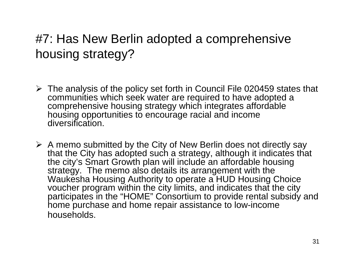### #7: Has New Berlin adopted a comprehensive housing strategy?

- ¾ The analysis of the policy set forth in Council File 020459 states that communities which seek water are required to have adopted a comprehensive housing strategy which integrates affordable housing opportunities to encourage racial and income diversification.
- $\triangleright$  A memo submitted by the City of New Berlin does not directly say that the City has adopted such a strategy, although it indicates that the city's Smart Growth plan will include an affordable housing strategy. The memo also details its arrangement with the Waukesha Housing Authority to operate a HUD Housing Choice voucher program within the city limits, and indicates that the city participates in the "HOME" Consortium to provide rental subsidy and home purchase and home repair assistance to low-income households.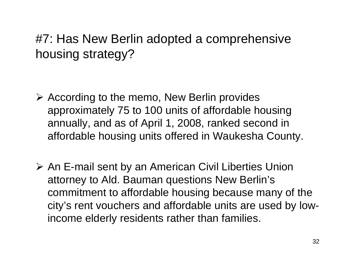### #7: Has New Berlin adopted a comprehensive housing strategy?

- ¾ According to the memo, New Berlin provides approximately 75 to 100 units of affordable housing annually, and as of April 1, 2008, ranked second in affordable housing units offered in Waukesha County.
- ¾ An E-mail sent by an American Civil Liberties Union attorney to Ald. Bauman questions New Berlin's commitment to affordable housing because many of the city's rent vouchers and affordable units are used by lowincome elderly residents rather than families.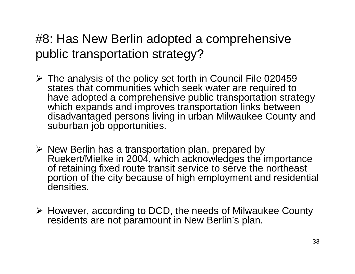### #8: Has New Berlin adopted a comprehensive public transportation strategy?

- $\triangleright$  The analysis of the policy set forth in Council File 020459 states that communities which seek water are required to have adopted a comprehensive public transportation strategy which expands and improves transportation links between disadvantaged persons living in urban Milwaukee County and suburban job opportunities.
- ¾ New Berlin has a transportation plan, prepared by Ruekert/Mielke in 2004, which acknowledges the importance of retaining fixed route transit service to serve the northeast portion of the city because of high employment and residential densities.
- ¾ However, according to DCD, the needs of Milwaukee County residents are not paramount in New Berlin's plan.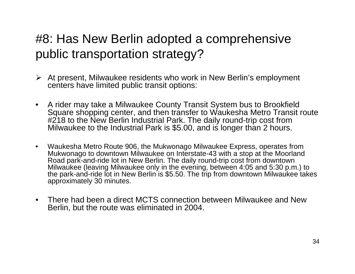### #8: Has New Berlin adopted a comprehensive public transportation strategy?

- ¾ At present, Milwaukee residents who work in New Berlin's employment centers have limited public transit options:
- • A rider may take a Milwaukee County Transit System bus to Brookfield Square shopping center, and then transfer to Waukesha Metro Transit route #218 to the New Berlin Industrial Park. The daily round-trip cost from Milwaukee to the Industrial Park is \$5.00, and is longer than 2 hours.
- • Waukesha Metro Route 906, the Mukwonago Milwaukee Express, operates from Mukwonago to downtown Milwaukee on Interstate-43 with a stop at the Moorland Road park-and-ride lot in New Berlin. The daily round-trip cost from downtown<br>Milwaukee (leaving Milwaukee only in the evening, between 4:05 and 5:30 p.m.) to the park-and-ride lot in New Berlin is \$5.50. The trip from downtown Milwaukee takes approximately 30 minutes.
- $\bullet$  There had been a direct MCTS connection between Milwaukee and New Berlin, but the route was eliminated in 2004.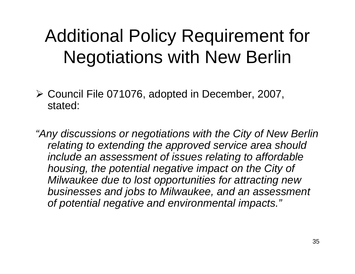# Additional Policy Requirement for Negotiations with New Berlin

¾ Council File 071076, adopted in December, 2007, stated:

*"Any discussions or negotiations with the City of New Berlin relating to extending the approved service area should include an assessment of issues relating to affordable housing, the potential negative impact on the City of Milwaukee due to lost opportunities for attracting new businesses and jobs to Milwaukee, and an assessment of potential negative and environmental impacts."*